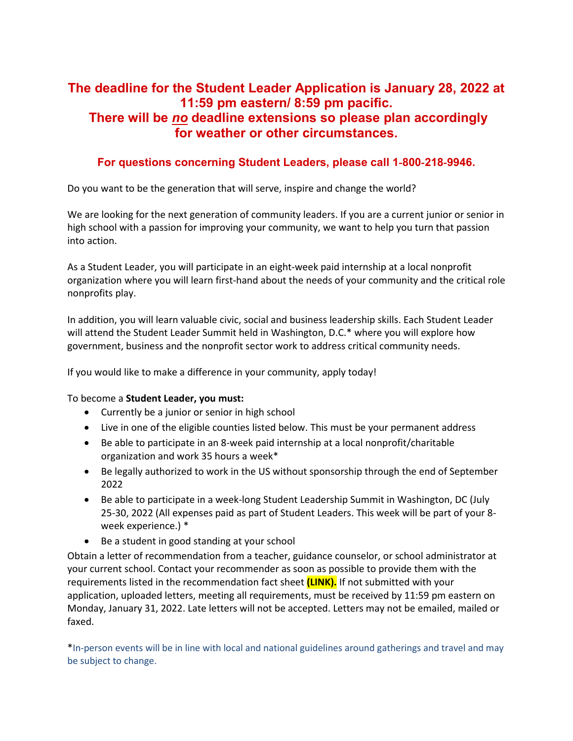## **The deadline for the Student Leader Application is January 28, 2022 at 11:59 pm eastern/ 8:59 pm pacific. There will be** *no* **deadline extensions so please plan accordingly for weather or other circumstances.**

## **For questions concerning Student Leaders, please call 1**‐**800**‐**218**‐**9946.**

Do you want to be the generation that will serve, inspire and change the world?

We are looking for the next generation of community leaders. If you are a current junior or senior in high school with a passion for improving your community, we want to help you turn that passion into action.

As a Student Leader, you will participate in an eight‐week paid internship at a local nonprofit organization where you will learn first-hand about the needs of your community and the critical role nonprofits play.

In addition, you will learn valuable civic, social and business leadership skills. Each Student Leader will attend the Student Leader Summit held in Washington, D.C.\* where you will explore how government, business and the nonprofit sector work to address critical community needs.

If you would like to make a difference in your community, apply today!

To become a **Student Leader, you must:** 

- Currently be a junior or senior in high school
- Live in one of the eligible counties listed below. This must be your permanent address
- Be able to participate in an 8‐week paid internship at a local nonprofit/charitable organization and work 35 hours a week\*
- Be legally authorized to work in the US without sponsorship through the end of September 2022
- Be able to participate in a week‐long Student Leadership Summit in Washington, DC (July 25-30, 2022 (All expenses paid as part of Student Leaders. This week will be part of your 8‐ week experience.) \*
- Be a student in good standing at your school

Obtain a letter of recommendation from a teacher, guidance counselor, or school administrator at your current school. Contact your recommender as soon as possible to provide them with the requirements listed in the recommendation fact sheet **(LINK).** If not submitted with your application, uploaded letters, meeting all requirements, must be received by 11:59 pm eastern on Monday, January 31, 2022. Late letters will not be accepted. Letters may not be emailed, mailed or faxed.

\*In-person events will be in line with local and national guidelines around gatherings and travel and may be subject to change.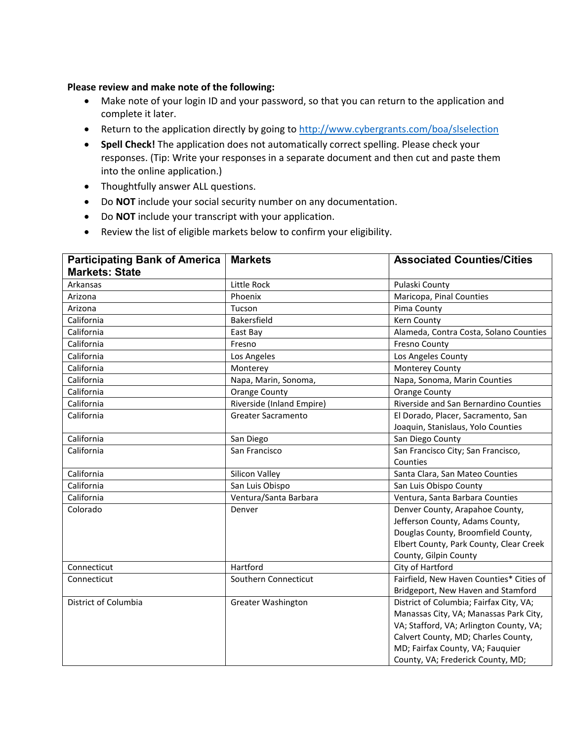## **Please review and make note of the following:**

- Make note of your login ID and your password, so that you can return to the application and complete it later.
- Return to the application directly by going to<http://www.cybergrants.com/boa/slselection>
- **Spell Check!** The application does not automatically correct spelling. Please check your responses. (Tip: Write your responses in a separate document and then cut and paste them into the online application.)
- Thoughtfully answer ALL questions.
- Do **NOT** include your social security number on any documentation.
- Do **NOT** include your transcript with your application.
- Review the list of eligible markets below to confirm your eligibility.

| <b>Participating Bank of America</b> | <b>Markets</b>            | <b>Associated Counties/Cities</b>        |
|--------------------------------------|---------------------------|------------------------------------------|
| <b>Markets: State</b>                |                           |                                          |
| Arkansas                             | Little Rock               | Pulaski County                           |
| Arizona                              | Phoenix                   | Maricopa, Pinal Counties                 |
| Arizona                              | Tucson                    | Pima County                              |
| California                           | Bakersfield               | Kern County                              |
| California                           | East Bay                  | Alameda, Contra Costa, Solano Counties   |
| California                           | Fresno                    | <b>Fresno County</b>                     |
| California                           | Los Angeles               | Los Angeles County                       |
| California                           | Monterey                  | Monterey County                          |
| California                           | Napa, Marin, Sonoma,      | Napa, Sonoma, Marin Counties             |
| California                           | <b>Orange County</b>      | <b>Orange County</b>                     |
| California                           | Riverside (Inland Empire) | Riverside and San Bernardino Counties    |
| California                           | Greater Sacramento        | El Dorado, Placer, Sacramento, San       |
|                                      |                           | Joaquin, Stanislaus, Yolo Counties       |
| California                           | San Diego                 | San Diego County                         |
| California                           | San Francisco             | San Francisco City; San Francisco,       |
|                                      |                           | Counties                                 |
| California                           | Silicon Valley            | Santa Clara, San Mateo Counties          |
| California                           | San Luis Obispo           | San Luis Obispo County                   |
| California                           | Ventura/Santa Barbara     | Ventura, Santa Barbara Counties          |
| Colorado                             | Denver                    | Denver County, Arapahoe County,          |
|                                      |                           | Jefferson County, Adams County,          |
|                                      |                           | Douglas County, Broomfield County,       |
|                                      |                           | Elbert County, Park County, Clear Creek  |
|                                      |                           | County, Gilpin County                    |
| Connecticut                          | Hartford                  | City of Hartford                         |
| Connecticut                          | Southern Connecticut      | Fairfield, New Haven Counties* Cities of |
|                                      |                           | Bridgeport, New Haven and Stamford       |
| District of Columbia                 | <b>Greater Washington</b> | District of Columbia; Fairfax City, VA;  |
|                                      |                           | Manassas City, VA; Manassas Park City,   |
|                                      |                           | VA; Stafford, VA; Arlington County, VA;  |
|                                      |                           | Calvert County, MD; Charles County,      |
|                                      |                           | MD; Fairfax County, VA; Fauquier         |
|                                      |                           | County, VA; Frederick County, MD;        |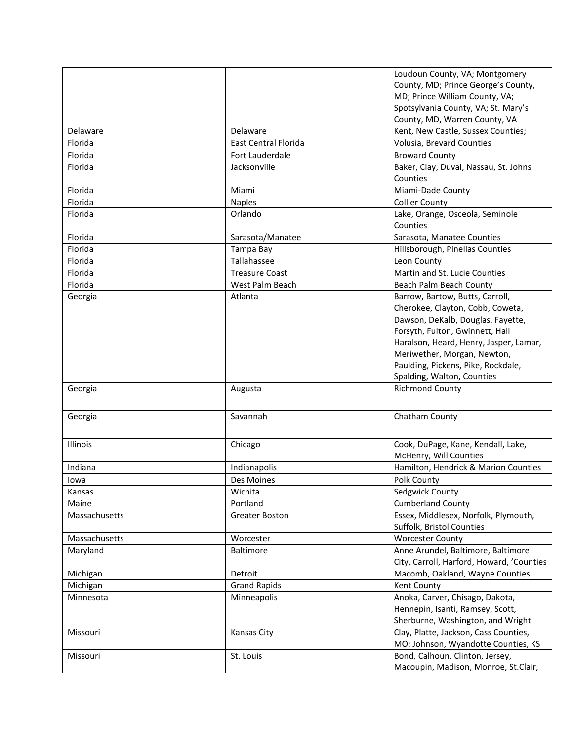|               |                       | Loudoun County, VA; Montgomery            |
|---------------|-----------------------|-------------------------------------------|
|               |                       | County, MD; Prince George's County,       |
|               |                       | MD; Prince William County, VA;            |
|               |                       | Spotsylvania County, VA; St. Mary's       |
|               |                       | County, MD, Warren County, VA             |
| Delaware      | Delaware              | Kent, New Castle, Sussex Counties;        |
| Florida       | East Central Florida  | Volusia, Brevard Counties                 |
| Florida       | Fort Lauderdale       | <b>Broward County</b>                     |
| Florida       | Jacksonville          | Baker, Clay, Duval, Nassau, St. Johns     |
|               |                       | Counties                                  |
| Florida       | Miami                 | Miami-Dade County                         |
| Florida       | <b>Naples</b>         | <b>Collier County</b>                     |
| Florida       | Orlando               | Lake, Orange, Osceola, Seminole           |
|               |                       | Counties                                  |
| Florida       | Sarasota/Manatee      | Sarasota, Manatee Counties                |
| Florida       | Tampa Bay             | Hillsborough, Pinellas Counties           |
| Florida       | Tallahassee           | Leon County                               |
| Florida       | <b>Treasure Coast</b> | Martin and St. Lucie Counties             |
| Florida       | West Palm Beach       | Beach Palm Beach County                   |
| Georgia       | Atlanta               | Barrow, Bartow, Butts, Carroll,           |
|               |                       | Cherokee, Clayton, Cobb, Coweta,          |
|               |                       | Dawson, DeKalb, Douglas, Fayette,         |
|               |                       | Forsyth, Fulton, Gwinnett, Hall           |
|               |                       | Haralson, Heard, Henry, Jasper, Lamar,    |
|               |                       | Meriwether, Morgan, Newton,               |
|               |                       | Paulding, Pickens, Pike, Rockdale,        |
|               |                       | Spalding, Walton, Counties                |
| Georgia       | Augusta               | <b>Richmond County</b>                    |
|               |                       |                                           |
| Georgia       | Savannah              | Chatham County                            |
|               |                       |                                           |
|               |                       |                                           |
| Illinois      | Chicago               | Cook, DuPage, Kane, Kendall, Lake,        |
|               |                       | McHenry, Will Counties                    |
| Indiana       | Indianapolis          | Hamilton, Hendrick & Marion Counties      |
| Iowa          | Des Moines            | Polk County                               |
| Kansas        | Wichita               | Sedgwick County                           |
| Maine         | Portland              | <b>Cumberland County</b>                  |
| Massachusetts | Greater Boston        | Essex, Middlesex, Norfolk, Plymouth,      |
|               |                       | Suffolk, Bristol Counties                 |
| Massachusetts | Worcester             | <b>Worcester County</b>                   |
| Maryland      | <b>Baltimore</b>      | Anne Arundel, Baltimore, Baltimore        |
|               |                       | City, Carroll, Harford, Howard, 'Counties |
| Michigan      | Detroit               | Macomb, Oakland, Wayne Counties           |
| Michigan      | <b>Grand Rapids</b>   | Kent County                               |
| Minnesota     | Minneapolis           | Anoka, Carver, Chisago, Dakota,           |
|               |                       | Hennepin, Isanti, Ramsey, Scott,          |
|               |                       | Sherburne, Washington, and Wright         |
| Missouri      | Kansas City           | Clay, Platte, Jackson, Cass Counties,     |
|               |                       | MO; Johnson, Wyandotte Counties, KS       |
| Missouri      | St. Louis             | Bond, Calhoun, Clinton, Jersey,           |
|               |                       | Macoupin, Madison, Monroe, St.Clair,      |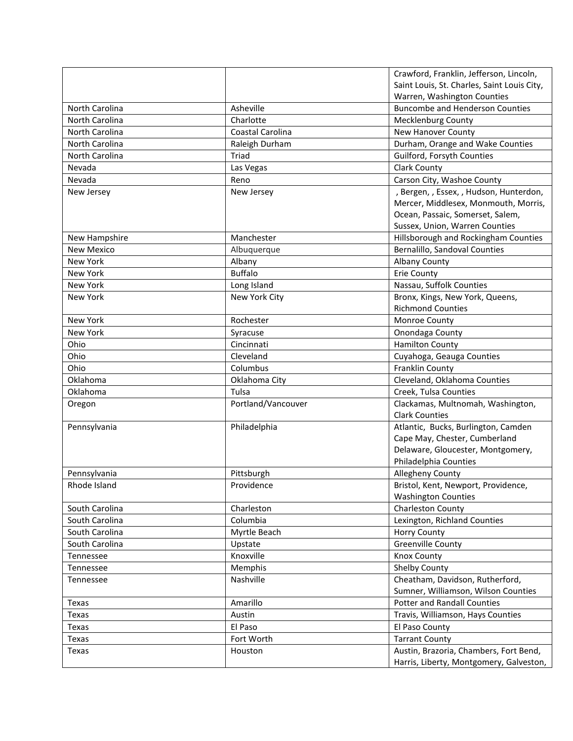|                   |                    | Crawford, Franklin, Jefferson, Lincoln,     |
|-------------------|--------------------|---------------------------------------------|
|                   |                    | Saint Louis, St. Charles, Saint Louis City, |
|                   |                    | Warren, Washington Counties                 |
| North Carolina    | Asheville          | <b>Buncombe and Henderson Counties</b>      |
| North Carolina    | Charlotte          | <b>Mecklenburg County</b>                   |
| North Carolina    | Coastal Carolina   | New Hanover County                          |
| North Carolina    | Raleigh Durham     | Durham, Orange and Wake Counties            |
| North Carolina    | Triad              | Guilford, Forsyth Counties                  |
| Nevada            | Las Vegas          | <b>Clark County</b>                         |
| Nevada            | Reno               | Carson City, Washoe County                  |
| New Jersey        | New Jersey         | , Bergen, , Essex, , Hudson, Hunterdon,     |
|                   |                    | Mercer, Middlesex, Monmouth, Morris,        |
|                   |                    | Ocean, Passaic, Somerset, Salem,            |
|                   |                    | Sussex, Union, Warren Counties              |
| New Hampshire     | Manchester         | Hillsborough and Rockingham Counties        |
| <b>New Mexico</b> | Albuquerque        | Bernalillo, Sandoval Counties               |
| <b>New York</b>   | Albany             | <b>Albany County</b>                        |
| New York          | <b>Buffalo</b>     | <b>Erie County</b>                          |
| New York          | Long Island        | Nassau, Suffolk Counties                    |
| <b>New York</b>   | New York City      | Bronx, Kings, New York, Queens,             |
|                   |                    | <b>Richmond Counties</b>                    |
| New York          | Rochester          | Monroe County                               |
| <b>New York</b>   | Syracuse           | Onondaga County                             |
| Ohio              | Cincinnati         | <b>Hamilton County</b>                      |
| Ohio              | Cleveland          | Cuyahoga, Geauga Counties                   |
| Ohio              | Columbus           | Franklin County                             |
| Oklahoma          | Oklahoma City      | Cleveland, Oklahoma Counties                |
| Oklahoma          | Tulsa              | Creek, Tulsa Counties                       |
| Oregon            | Portland/Vancouver | Clackamas, Multnomah, Washington,           |
|                   |                    | <b>Clark Counties</b>                       |
| Pennsylvania      | Philadelphia       | Atlantic, Bucks, Burlington, Camden         |
|                   |                    | Cape May, Chester, Cumberland               |
|                   |                    | Delaware, Gloucester, Montgomery,           |
|                   |                    | Philadelphia Counties                       |
| Pennsylvania      | Pittsburgh         | Allegheny County                            |
| Rhode Island      | Providence         | Bristol, Kent, Newport, Providence,         |
|                   |                    | <b>Washington Counties</b>                  |
| South Carolina    | Charleston         | Charleston County                           |
| South Carolina    | Columbia           | Lexington, Richland Counties                |
| South Carolina    | Myrtle Beach       | Horry County                                |
| South Carolina    | Upstate            | <b>Greenville County</b>                    |
| Tennessee         | Knoxville          | Knox County                                 |
| Tennessee         | Memphis            | <b>Shelby County</b>                        |
| Tennessee         | Nashville          | Cheatham, Davidson, Rutherford,             |
|                   |                    | Sumner, Williamson, Wilson Counties         |
| Texas             | Amarillo           | <b>Potter and Randall Counties</b>          |
| Texas             | Austin             | Travis, Williamson, Hays Counties           |
| Texas             | El Paso            | El Paso County                              |
| Texas             | Fort Worth         | <b>Tarrant County</b>                       |
| Texas             | Houston            | Austin, Brazoria, Chambers, Fort Bend,      |
|                   |                    | Harris, Liberty, Montgomery, Galveston,     |